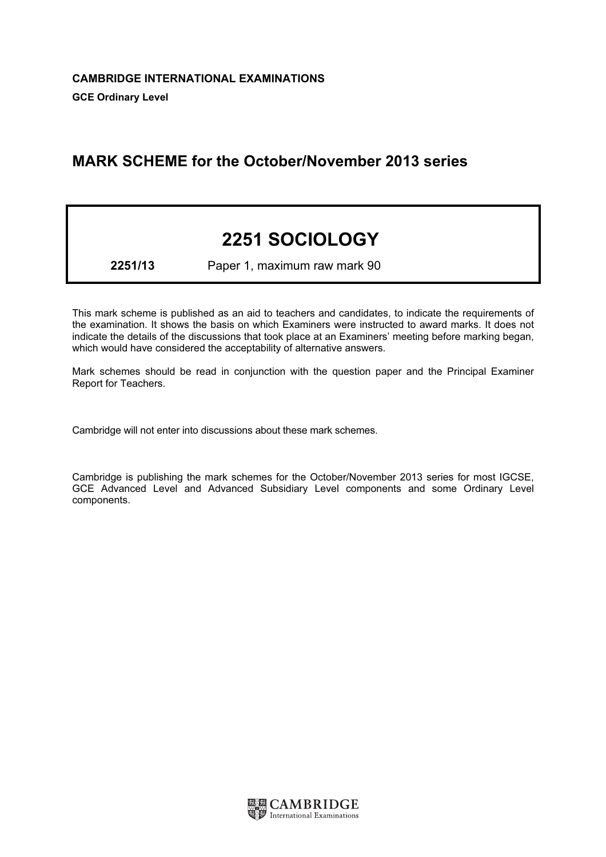# MARK SCHEME for the October/November 2013 series

# 2251 SOCIOLOGY

2251/13 Paper 1, maximum raw mark 90

This mark scheme is published as an aid to teachers and candidates, to indicate the requirements of the examination. It shows the basis on which Examiners were instructed to award marks. It does not indicate the details of the discussions that took place at an Examiners' meeting before marking began, which would have considered the acceptability of alternative answers.

Mark schemes should be read in conjunction with the question paper and the Principal Examiner Report for Teachers.

Cambridge will not enter into discussions about these mark schemes.

Cambridge is publishing the mark schemes for the October/November 2013 series for most IGCSE, GCE Advanced Level and Advanced Subsidiary Level components and some Ordinary Level components.

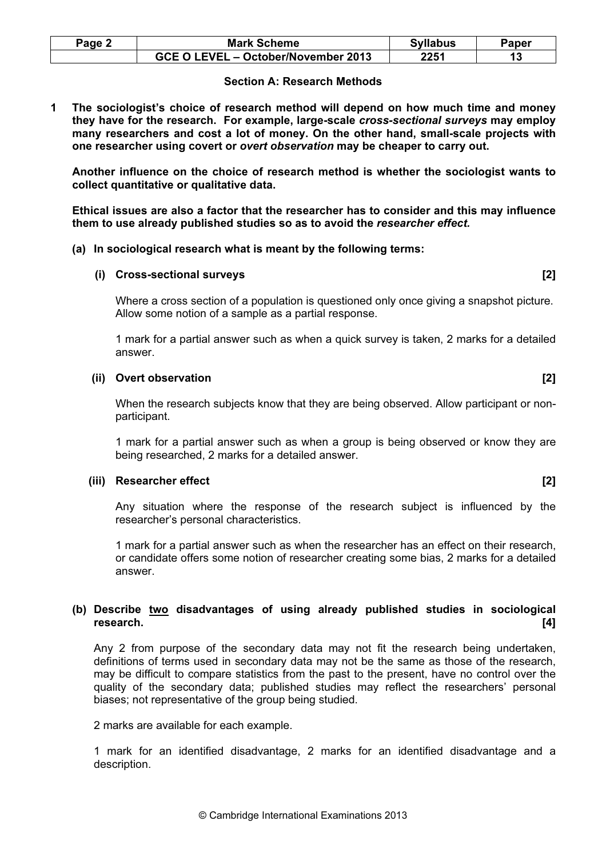| $Page \angle$ | <b>Mark Scheme</b>                  | <b>Syllabus</b> | Paper |
|---------------|-------------------------------------|-----------------|-------|
|               | GCE O LEVEL - October/November 2013 | 2251            |       |

#### Section A: Research Methods

1 The sociologist's choice of research method will depend on how much time and money they have for the research. For example, large-scale cross-sectional surveys may employ many researchers and cost a lot of money. On the other hand, small-scale projects with one researcher using covert or overt observation may be cheaper to carry out.

Another influence on the choice of research method is whether the sociologist wants to collect quantitative or qualitative data.

Ethical issues are also a factor that the researcher has to consider and this may influence them to use already published studies so as to avoid the researcher effect.

(a) In sociological research what is meant by the following terms:

#### (i) Cross-sectional surveys [2]

 Where a cross section of a population is questioned only once giving a snapshot picture. Allow some notion of a sample as a partial response.

 1 mark for a partial answer such as when a quick survey is taken, 2 marks for a detailed answer.

# (ii) Overt observation and a set of the set of the set of the set of the set of the set of the set of the set of the set of the set of the set of the set of the set of the set of the set of the set of the set of the set of

 When the research subjects know that they are being observed. Allow participant or nonparticipant.

 1 mark for a partial answer such as when a group is being observed or know they are being researched, 2 marks for a detailed answer.

#### (iii) Researcher effect **and a set of the search of the search of the search of the search of the search of the search of the search of the search of the search of the search of the search of the search of the search of th**

 Any situation where the response of the research subject is influenced by the researcher's personal characteristics.

 1 mark for a partial answer such as when the researcher has an effect on their research, or candidate offers some notion of researcher creating some bias, 2 marks for a detailed answer.

# (b) Describe two disadvantages of using already published studies in sociological research. [4]

 Any 2 from purpose of the secondary data may not fit the research being undertaken, definitions of terms used in secondary data may not be the same as those of the research, may be difficult to compare statistics from the past to the present, have no control over the quality of the secondary data; published studies may reflect the researchers' personal biases; not representative of the group being studied.

2 marks are available for each example.

1 mark for an identified disadvantage, 2 marks for an identified disadvantage and a description.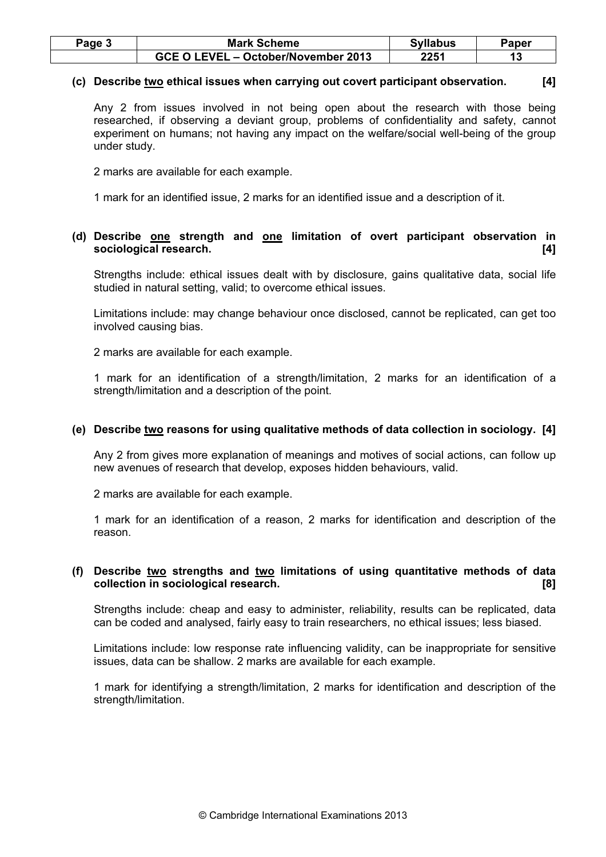| Page 3 | <b>Mark Scheme</b>                  | <b>Syllabus</b> | Paper |
|--------|-------------------------------------|-----------------|-------|
|        | GCE O LEVEL - October/November 2013 | 2251            |       |

# (c) Describe two ethical issues when carrying out covert participant observation. [4]

 Any 2 from issues involved in not being open about the research with those being researched, if observing a deviant group, problems of confidentiality and safety, cannot experiment on humans; not having any impact on the welfare/social well-being of the group under study.

2 marks are available for each example.

1 mark for an identified issue, 2 marks for an identified issue and a description of it.

# (d) Describe one strength and one limitation of overt participant observation in sociological research. [4]

 Strengths include: ethical issues dealt with by disclosure, gains qualitative data, social life studied in natural setting, valid; to overcome ethical issues.

 Limitations include: may change behaviour once disclosed, cannot be replicated, can get too involved causing bias.

2 marks are available for each example.

 1 mark for an identification of a strength/limitation, 2 marks for an identification of a strength/limitation and a description of the point.

#### (e) Describe two reasons for using qualitative methods of data collection in sociology. [4]

 Any 2 from gives more explanation of meanings and motives of social actions, can follow up new avenues of research that develop, exposes hidden behaviours, valid.

2 marks are available for each example.

 1 mark for an identification of a reason, 2 marks for identification and description of the reason.

# (f) Describe two strengths and two limitations of using quantitative methods of data collection in sociological research. [8]

Strengths include: cheap and easy to administer, reliability, results can be replicated, data can be coded and analysed, fairly easy to train researchers, no ethical issues; less biased.

Limitations include: low response rate influencing validity, can be inappropriate for sensitive issues, data can be shallow. 2 marks are available for each example.

1 mark for identifying a strength/limitation, 2 marks for identification and description of the strength/limitation.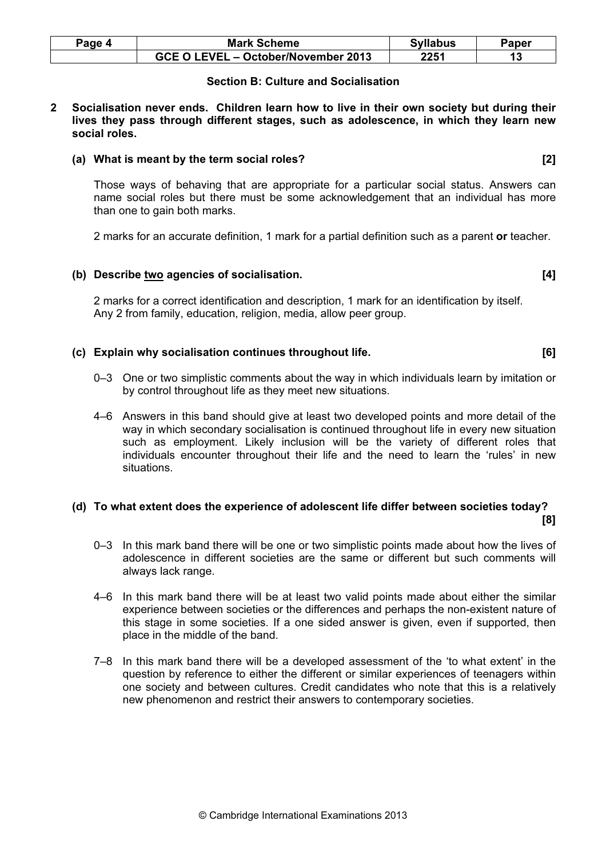| Paqe 4 | <b>Mark Scheme</b>                  | <b>Syllabus</b> | Paper |
|--------|-------------------------------------|-----------------|-------|
|        | GCE O LEVEL - October/November 2013 | 2251            |       |

# Section B: Culture and Socialisation

2 Socialisation never ends. Children learn how to live in their own society but during their lives they pass through different stages, such as adolescence, in which they learn new social roles.

#### (a) What is meant by the term social roles? [2]

 Those ways of behaving that are appropriate for a particular social status. Answers can name social roles but there must be some acknowledgement that an individual has more than one to gain both marks.

2 marks for an accurate definition, 1 mark for a partial definition such as a parent or teacher.

# (b) Describe two agencies of socialisation. **[4]**  $[4]$

 2 marks for a correct identification and description, 1 mark for an identification by itself. Any 2 from family, education, religion, media, allow peer group.

#### (c) Explain why socialisation continues throughout life.  $[6]$

- 0–3 One or two simplistic comments about the way in which individuals learn by imitation or by control throughout life as they meet new situations.
- 4–6 Answers in this band should give at least two developed points and more detail of the way in which secondary socialisation is continued throughout life in every new situation such as employment. Likely inclusion will be the variety of different roles that individuals encounter throughout their life and the need to learn the 'rules' in new situations.

#### (d) To what extent does the experience of adolescent life differ between societies today? [8]

- 0–3 In this mark band there will be one or two simplistic points made about how the lives of adolescence in different societies are the same or different but such comments will always lack range.
- 4–6 In this mark band there will be at least two valid points made about either the similar experience between societies or the differences and perhaps the non-existent nature of this stage in some societies. If a one sided answer is given, even if supported, then place in the middle of the band.
- 7–8 In this mark band there will be a developed assessment of the 'to what extent' in the question by reference to either the different or similar experiences of teenagers within one society and between cultures. Credit candidates who note that this is a relatively new phenomenon and restrict their answers to contemporary societies.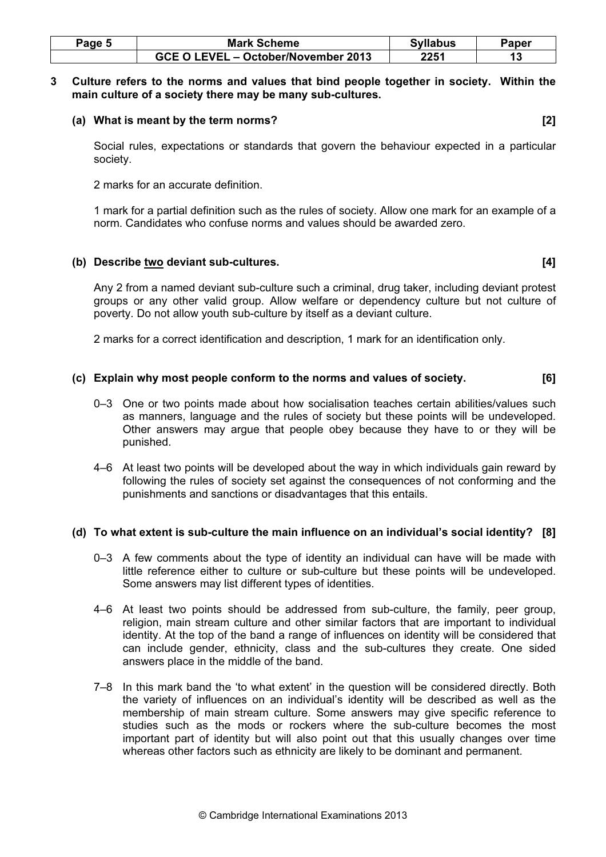| Page 5 | <b>Mark Scheme</b>                  | <b>Syllabus</b> | Paper |
|--------|-------------------------------------|-----------------|-------|
|        | GCE O LEVEL - October/November 2013 | 2251            |       |

#### 3 Culture refers to the norms and values that bind people together in society. Within the main culture of a society there may be many sub-cultures.

#### (a) What is meant by the term norms? [2]

 Social rules, expectations or standards that govern the behaviour expected in a particular society.

2 marks for an accurate definition.

 1 mark for a partial definition such as the rules of society. Allow one mark for an example of a norm. Candidates who confuse norms and values should be awarded zero.

# (b) Describe two deviant sub-cultures. [4]

 Any 2 from a named deviant sub-culture such a criminal, drug taker, including deviant protest groups or any other valid group. Allow welfare or dependency culture but not culture of poverty. Do not allow youth sub-culture by itself as a deviant culture.

2 marks for a correct identification and description, 1 mark for an identification only.

# (c) Explain why most people conform to the norms and values of society. [6]

- 0–3 One or two points made about how socialisation teaches certain abilities/values such as manners, language and the rules of society but these points will be undeveloped. Other answers may argue that people obey because they have to or they will be punished.
- 4–6 At least two points will be developed about the way in which individuals gain reward by following the rules of society set against the consequences of not conforming and the punishments and sanctions or disadvantages that this entails.

# (d) To what extent is sub-culture the main influence on an individual's social identity? [8]

- 0–3 A few comments about the type of identity an individual can have will be made with little reference either to culture or sub-culture but these points will be undeveloped. Some answers may list different types of identities.
- 4–6 At least two points should be addressed from sub-culture, the family, peer group, religion, main stream culture and other similar factors that are important to individual identity. At the top of the band a range of influences on identity will be considered that can include gender, ethnicity, class and the sub-cultures they create. One sided answers place in the middle of the band.
- 7–8 In this mark band the 'to what extent' in the question will be considered directly. Both the variety of influences on an individual's identity will be described as well as the membership of main stream culture. Some answers may give specific reference to studies such as the mods or rockers where the sub-culture becomes the most important part of identity but will also point out that this usually changes over time whereas other factors such as ethnicity are likely to be dominant and permanent.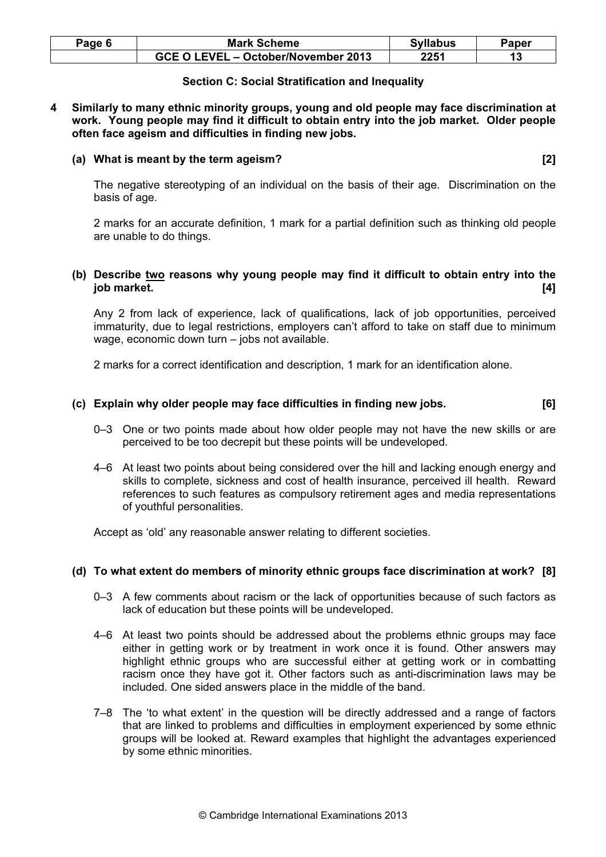| Page 6 | <b>Mark Scheme</b>                  | <b>Syllabus</b> | Paper |
|--------|-------------------------------------|-----------------|-------|
|        | GCE O LEVEL - October/November 2013 | 2251            |       |

# Section C: Social Stratification and Inequality

4 Similarly to many ethnic minority groups, young and old people may face discrimination at work. Young people may find it difficult to obtain entry into the job market. Older people often face ageism and difficulties in finding new jobs.

#### (a) What is meant by the term ageism? [2]

 The negative stereotyping of an individual on the basis of their age. Discrimination on the basis of age.

2 marks for an accurate definition, 1 mark for a partial definition such as thinking old people are unable to do things.

# (b) Describe two reasons why young people may find it difficult to obtain entry into the job market. [4]

 Any 2 from lack of experience, lack of qualifications, lack of job opportunities, perceived immaturity, due to legal restrictions, employers can't afford to take on staff due to minimum wage, economic down turn – jobs not available.

2 marks for a correct identification and description, 1 mark for an identification alone.

# (c) Explain why older people may face difficulties in finding new jobs. [6]

- 0–3 One or two points made about how older people may not have the new skills or are perceived to be too decrepit but these points will be undeveloped.
- 4–6 At least two points about being considered over the hill and lacking enough energy and skills to complete, sickness and cost of health insurance, perceived ill health. Reward references to such features as compulsory retirement ages and media representations of youthful personalities.

Accept as 'old' any reasonable answer relating to different societies.

#### (d) To what extent do members of minority ethnic groups face discrimination at work? [8]

- 0–3 A few comments about racism or the lack of opportunities because of such factors as lack of education but these points will be undeveloped.
- 4–6 At least two points should be addressed about the problems ethnic groups may face either in getting work or by treatment in work once it is found. Other answers may highlight ethnic groups who are successful either at getting work or in combatting racism once they have got it. Other factors such as anti-discrimination laws may be included. One sided answers place in the middle of the band.
- 7–8 The 'to what extent' in the question will be directly addressed and a range of factors that are linked to problems and difficulties in employment experienced by some ethnic groups will be looked at. Reward examples that highlight the advantages experienced by some ethnic minorities.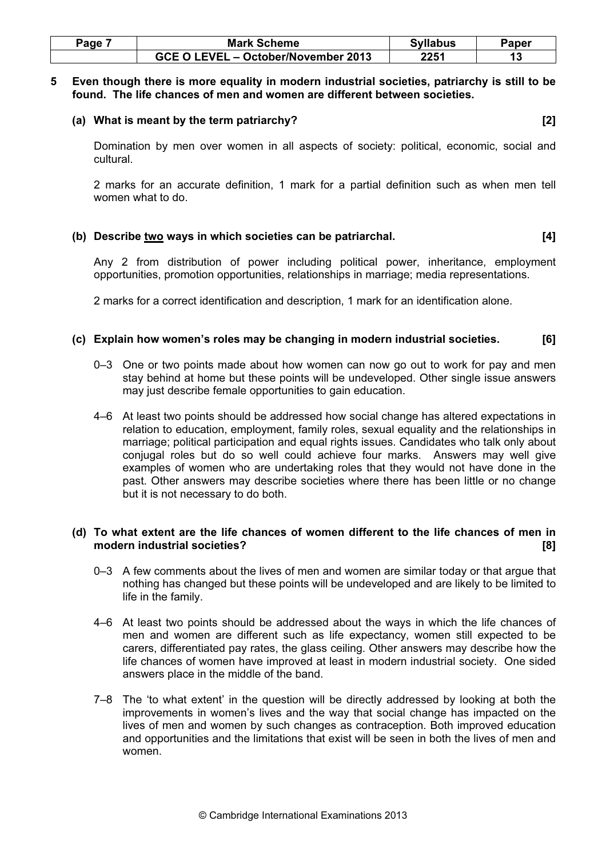| Page | <b>Mark Scheme</b>                  | <b>Syllabus</b> | Paper |
|------|-------------------------------------|-----------------|-------|
|      | GCE O LEVEL - October/November 2013 | 2251            |       |

#### 5 Even though there is more equality in modern industrial societies, patriarchy is still to be found. The life chances of men and women are different between societies.

#### (a) What is meant by the term patriarchy? [2]

 Domination by men over women in all aspects of society: political, economic, social and cultural.

 2 marks for an accurate definition, 1 mark for a partial definition such as when men tell women what to do.

# (b) Describe two ways in which societies can be patriarchal.  $[4]$

 Any 2 from distribution of power including political power, inheritance, employment opportunities, promotion opportunities, relationships in marriage; media representations.

2 marks for a correct identification and description, 1 mark for an identification alone.

# (c) Explain how women's roles may be changing in modern industrial societies. [6]

- 0–3 One or two points made about how women can now go out to work for pay and men stay behind at home but these points will be undeveloped. Other single issue answers may just describe female opportunities to gain education.
- 4–6 At least two points should be addressed how social change has altered expectations in relation to education, employment, family roles, sexual equality and the relationships in marriage; political participation and equal rights issues. Candidates who talk only about conjugal roles but do so well could achieve four marks. Answers may well give examples of women who are undertaking roles that they would not have done in the past. Other answers may describe societies where there has been little or no change but it is not necessary to do both.

# (d) To what extent are the life chances of women different to the life chances of men in modern industrial societies? [8]

- 0–3 A few comments about the lives of men and women are similar today or that argue that nothing has changed but these points will be undeveloped and are likely to be limited to life in the family.
- 4–6 At least two points should be addressed about the ways in which the life chances of men and women are different such as life expectancy, women still expected to be carers, differentiated pay rates, the glass ceiling. Other answers may describe how the life chances of women have improved at least in modern industrial society. One sided answers place in the middle of the band.
- 7–8 The 'to what extent' in the question will be directly addressed by looking at both the improvements in women's lives and the way that social change has impacted on the lives of men and women by such changes as contraception. Both improved education and opportunities and the limitations that exist will be seen in both the lives of men and women.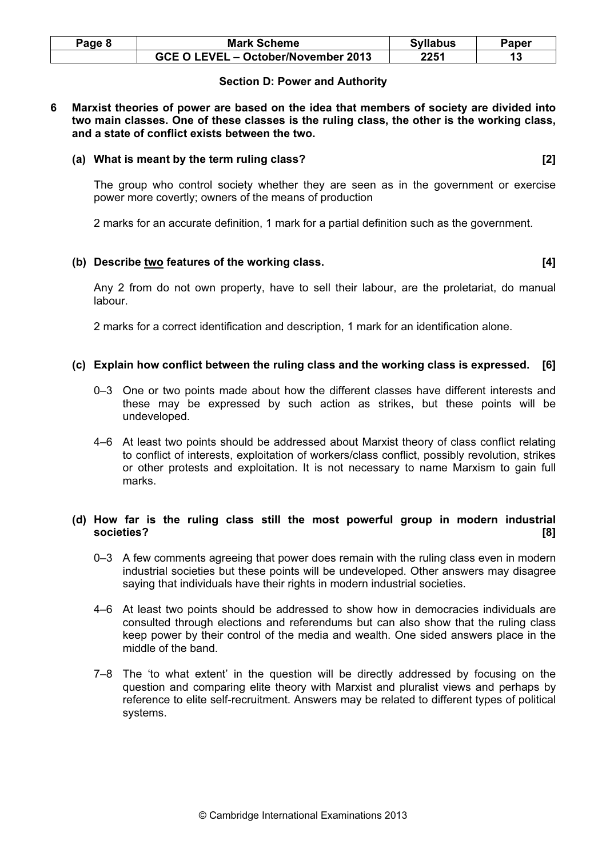| Page 8 | <b>Mark Scheme</b>                  | <b>Syllabus</b> | Paper |
|--------|-------------------------------------|-----------------|-------|
|        | GCE O LEVEL - October/November 2013 | 2251            |       |

# Section D: Power and Authority

#### 6 Marxist theories of power are based on the idea that members of society are divided into two main classes. One of these classes is the ruling class, the other is the working class, and a state of conflict exists between the two.

#### (a) What is meant by the term ruling class? [2]

 The group who control society whether they are seen as in the government or exercise power more covertly; owners of the means of production

2 marks for an accurate definition, 1 mark for a partial definition such as the government.

# (b) Describe two features of the working class. [4]

 Any 2 from do not own property, have to sell their labour, are the proletariat, do manual labour.

2 marks for a correct identification and description, 1 mark for an identification alone.

# (c) Explain how conflict between the ruling class and the working class is expressed. [6]

- 0–3 One or two points made about how the different classes have different interests and these may be expressed by such action as strikes, but these points will be undeveloped.
- 4–6 At least two points should be addressed about Marxist theory of class conflict relating to conflict of interests, exploitation of workers/class conflict, possibly revolution, strikes or other protests and exploitation. It is not necessary to name Marxism to gain full marks.

# (d) How far is the ruling class still the most powerful group in modern industrial societies? [8]

- 0-3 A few comments agreeing that power does remain with the ruling class even in modern industrial societies but these points will be undeveloped. Other answers may disagree saying that individuals have their rights in modern industrial societies.
- 4–6 At least two points should be addressed to show how in democracies individuals are consulted through elections and referendums but can also show that the ruling class keep power by their control of the media and wealth. One sided answers place in the middle of the band.
- 7–8 The 'to what extent' in the question will be directly addressed by focusing on the question and comparing elite theory with Marxist and pluralist views and perhaps by reference to elite self-recruitment. Answers may be related to different types of political systems.